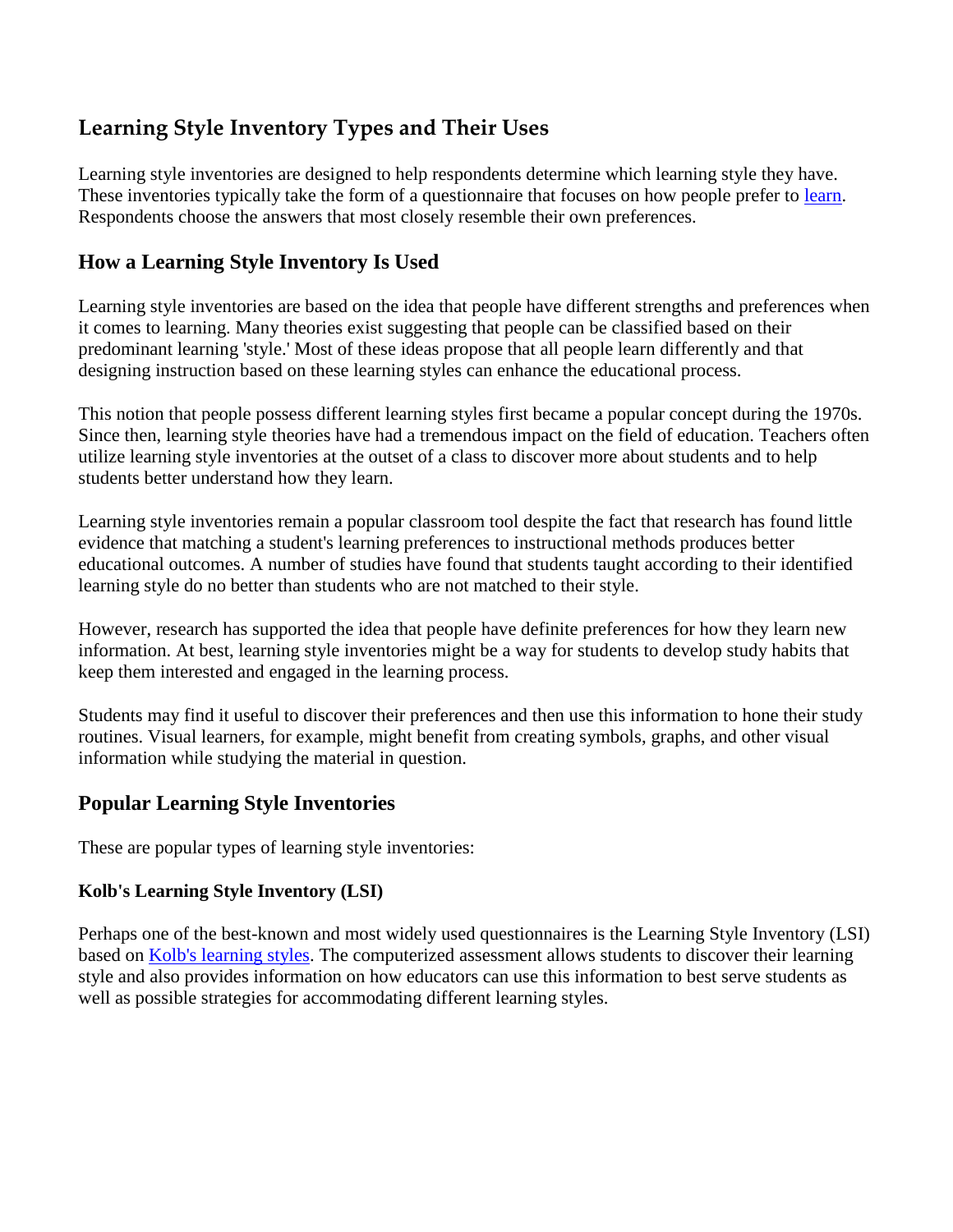# **Learning Style Inventory Types and Their Uses**

Learning style inventories are designed to help respondents determine which learning style they have. These inventories typically take the form of a questionnaire that focuses on how people prefer to [learn.](https://www.verywellmind.com/lesson-five-the-psychology-of-learning-2795300) Respondents choose the answers that most closely resemble their own preferences.

# **How a Learning Style Inventory Is Used**

Learning style inventories are based on the idea that people have different strengths and preferences when it comes to learning. Many theories exist suggesting that people can be classified based on their predominant learning 'style.' Most of these ideas propose that all people learn differently and that designing instruction based on these learning styles can enhance the educational process.

This notion that people possess different learning styles first became a popular concept during the 1970s. Since then, learning style theories have had a tremendous impact on the field of education. Teachers often utilize learning style inventories at the outset of a class to discover more about students and to help students better understand how they learn.

Learning style inventories remain a popular classroom tool despite the fact that research has found little evidence that matching a student's learning preferences to instructional methods produces better educational outcomes. A number of studies have found that students taught according to their identified learning style do no better than students who are not matched to their style.

However, research has supported the idea that people have definite preferences for how they learn new information. At best, learning style inventories might be a way for students to develop study habits that keep them interested and engaged in the learning process.

Students may find it useful to discover their preferences and then use this information to hone their study routines. Visual learners, for example, might benefit from creating symbols, graphs, and other visual information while studying the material in question.

## **Popular Learning Style Inventories**

These are popular types of learning style inventories:

### **Kolb's Learning Style Inventory (LSI)**

Perhaps one of the best-known and most widely used questionnaires is the Learning Style Inventory (LSI) based on [Kolb's learning styles.](https://www.verywellmind.com/kolbs-learning-styles-2795155) The computerized assessment allows students to discover their learning style and also provides information on how educators can use this information to best serve students as well as possible strategies for accommodating different learning styles.